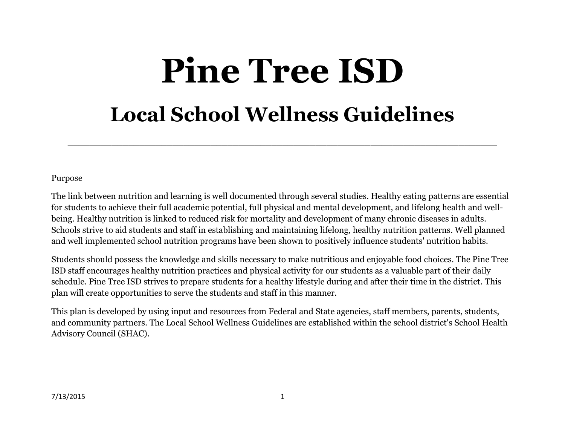# **Pine Tree ISD Local School Wellness Guidelines**

\_\_\_\_\_\_\_\_\_\_\_\_\_\_\_\_\_\_\_\_\_\_\_\_\_\_\_\_\_\_\_\_\_\_\_\_\_\_\_\_\_\_\_\_\_\_\_\_\_\_\_\_\_\_\_\_\_\_\_\_\_\_\_\_\_\_\_\_\_\_\_\_\_\_\_\_\_\_

Purpose

The link between nutrition and learning is well documented through several studies. Healthy eating patterns are essential for students to achieve their full academic potential, full physical and mental development, and lifelong health and wellbeing. Healthy nutrition is linked to reduced risk for mortality and development of many chronic diseases in adults. Schools strive to aid students and staff in establishing and maintaining lifelong, healthy nutrition patterns. Well planned and well implemented school nutrition programs have been shown to positively influence students' nutrition habits.

Students should possess the knowledge and skills necessary to make nutritious and enjoyable food choices. The Pine Tree ISD staff encourages healthy nutrition practices and physical activity for our students as a valuable part of their daily schedule. Pine Tree ISD strives to prepare students for a healthy lifestyle during and after their time in the district. This plan will create opportunities to serve the students and staff in this manner.

This plan is developed by using input and resources from Federal and State agencies, staff members, parents, students, and community partners. The Local School Wellness Guidelines are established within the school district's School Health Advisory Council (SHAC).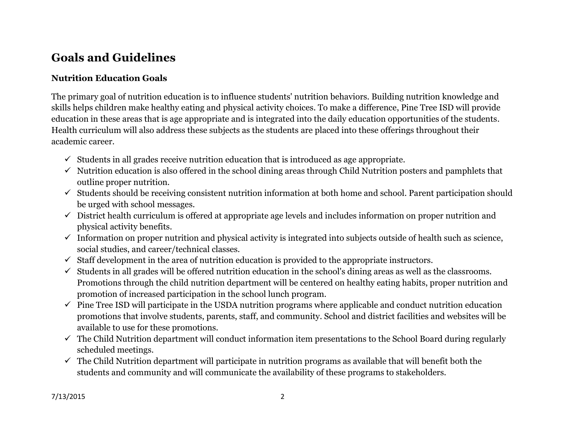## **Goals and Guidelines**

#### **Nutrition Education Goals**

The primary goal of nutrition education is to influence students' nutrition behaviors. Building nutrition knowledge and skills helps children make healthy eating and physical activity choices. To make a difference, Pine Tree ISD will provide education in these areas that is age appropriate and is integrated into the daily education opportunities of the students. Health curriculum will also address these subjects as the students are placed into these offerings throughout their academic career.

- $\checkmark$  Students in all grades receive nutrition education that is introduced as age appropriate.
- $\checkmark$  Nutrition education is also offered in the school dining areas through Child Nutrition posters and pamphlets that outline proper nutrition.
- $\checkmark$  Students should be receiving consistent nutrition information at both home and school. Parent participation should be urged with school messages.
- $\checkmark$  District health curriculum is offered at appropriate age levels and includes information on proper nutrition and physical activity benefits.
- $\checkmark$  Information on proper nutrition and physical activity is integrated into subjects outside of health such as science, social studies, and career/technical classes.
- $\checkmark$  Staff development in the area of nutrition education is provided to the appropriate instructors.
- $\checkmark$  Students in all grades will be offered nutrition education in the school's dining areas as well as the classrooms. Promotions through the child nutrition department will be centered on healthy eating habits, proper nutrition and promotion of increased participation in the school lunch program.
- $\checkmark$  Pine Tree ISD will participate in the USDA nutrition programs where applicable and conduct nutrition education promotions that involve students, parents, staff, and community. School and district facilities and websites will be available to use for these promotions.
- $\checkmark$  The Child Nutrition department will conduct information item presentations to the School Board during regularly scheduled meetings.
- $\checkmark$  The Child Nutrition department will participate in nutrition programs as available that will benefit both the students and community and will communicate the availability of these programs to stakeholders.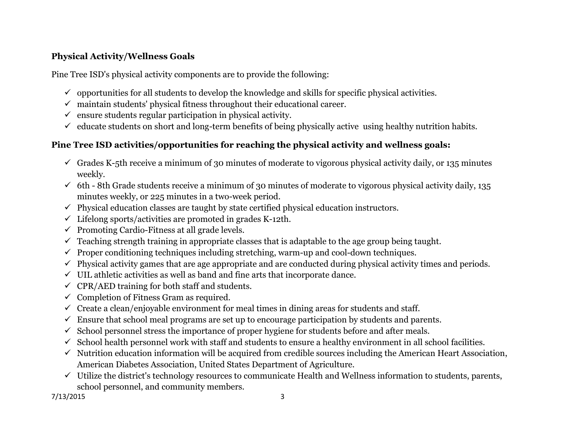### **Physical Activity/Wellness Goals**

Pine Tree ISD's physical activity components are to provide the following:

- $\checkmark$  opportunities for all students to develop the knowledge and skills for specific physical activities.
- $\checkmark$  maintain students' physical fitness throughout their educational career.
- $\checkmark$  ensure students regular participation in physical activity.
- $\checkmark$  educate students on short and long-term benefits of being physically active using healthy nutrition habits.

### **Pine Tree ISD activities/opportunities for reaching the physical activity and wellness goals:**

- $\checkmark$  Grades K-5th receive a minimum of 30 minutes of moderate to vigorous physical activity daily, or 135 minutes weekly.
- $6th$  8th Grade students receive a minimum of 30 minutes of moderate to vigorous physical activity daily, 135 minutes weekly, or 225 minutes in a two-week period.
- $\checkmark$  Physical education classes are taught by state certified physical education instructors.
- $\checkmark$  Lifelong sports/activities are promoted in grades K-12th.
- $\checkmark$  Promoting Cardio-Fitness at all grade levels.
- $\checkmark$  Teaching strength training in appropriate classes that is adaptable to the age group being taught.
- $\checkmark$  Proper conditioning techniques including stretching, warm-up and cool-down techniques.
- $\checkmark$  Physical activity games that are age appropriate and are conducted during physical activity times and periods.
- $\checkmark$  UIL athletic activities as well as band and fine arts that incorporate dance.
- $\checkmark$  CPR/AED training for both staff and students.
- $\checkmark$  Completion of Fitness Gram as required.
- $\checkmark$  Create a clean/enjoyable environment for meal times in dining areas for students and staff.
- $\checkmark$  Ensure that school meal programs are set up to encourage participation by students and parents.
- $\checkmark$  School personnel stress the importance of proper hygiene for students before and after meals.
- $\checkmark$  School health personnel work with staff and students to ensure a healthy environment in all school facilities.
- $\checkmark$  Nutrition education information will be acquired from credible sources including the American Heart Association, American Diabetes Association, United States Department of Agriculture.
- $\checkmark$  Utilize the district's technology resources to communicate Health and Wellness information to students, parents, school personnel, and community members.

7/13/2015 3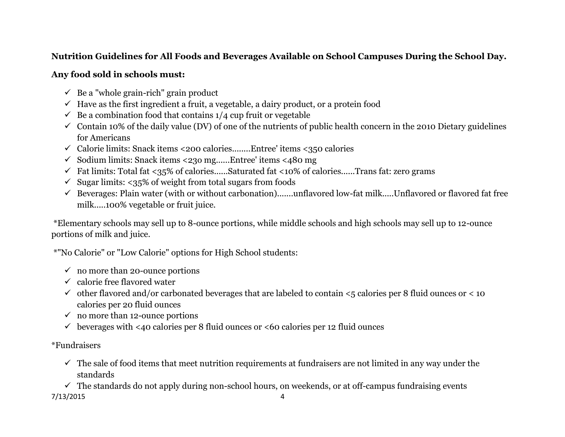### **Nutrition Guidelines for All Foods and Beverages Available on School Campuses During the School Day.**

#### **Any food sold in schools must:**

- $\checkmark$  Be a "whole grain-rich" grain product
- $\checkmark$  Have as the first ingredient a fruit, a vegetable, a dairy product, or a protein food
- $\checkmark$  Be a combination food that contains 1/4 cup fruit or vegetable
- $\checkmark$  Contain 10% of the daily value (DV) of one of the nutrients of public health concern in the 2010 Dietary guidelines for Americans
- $\checkmark$  Calorie limits: Snack items <200 calories........Entree' items <350 calories
- $\checkmark$  Sodium limits: Snack items <230 mg......Entree' items <480 mg
- $\checkmark$  Fat limits: Total fat <35% of calories......Saturated fat <10% of calories......Trans fat: zero grams
- $\checkmark$  Sugar limits: <35% of weight from total sugars from foods
- $\checkmark$  Beverages: Plain water (with or without carbonation).......unflavored low-fat milk.....Unflavored or flavored fat free milk.....100% vegetable or fruit juice.

\*Elementary schools may sell up to 8-ounce portions, while middle schools and high schools may sell up to 12-ounce portions of milk and juice.

\*"No Calorie" or "Low Calorie" options for High School students:

- $\checkmark$  no more than 20-ounce portions
- $\checkmark$  calorie free flavored water
- $\checkmark$  other flavored and/or carbonated beverages that are labeled to contain <5 calories per 8 fluid ounces or < 10 calories per 20 fluid ounces
- $\checkmark$  no more than 12-ounce portions
- $\checkmark$  beverages with <40 calories per 8 fluid ounces or <60 calories per 12 fluid ounces

#### \*Fundraisers

 $\checkmark$  The sale of food items that meet nutrition requirements at fundraisers are not limited in any way under the standards

7/13/2015 4  $\checkmark$  The standards do not apply during non-school hours, on weekends, or at off-campus fundraising events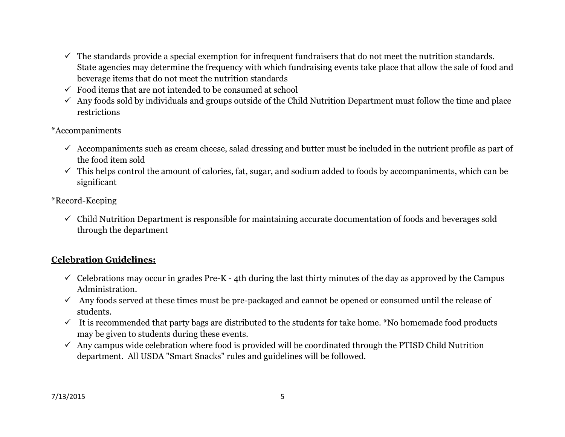- $\checkmark$  The standards provide a special exemption for infrequent fundraisers that do not meet the nutrition standards. State agencies may determine the frequency with which fundraising events take place that allow the sale of food and beverage items that do not meet the nutrition standards
- $\checkmark$  Food items that are not intended to be consumed at school
- $\checkmark$  Any foods sold by individuals and groups outside of the Child Nutrition Department must follow the time and place restrictions
- \*Accompaniments
	- $\checkmark$  Accompaniments such as cream cheese, salad dressing and butter must be included in the nutrient profile as part of the food item sold
	- $\checkmark$  This helps control the amount of calories, fat, sugar, and sodium added to foods by accompaniments, which can be significant

#### \*Record-Keeping

 $\checkmark$  Child Nutrition Department is responsible for maintaining accurate documentation of foods and beverages sold through the department

### **Celebration Guidelines:**

- $\checkmark$  Celebrations may occur in grades Pre-K 4th during the last thirty minutes of the day as approved by the Campus Administration.
- $\checkmark$  Any foods served at these times must be pre-packaged and cannot be opened or consumed until the release of students.
- $\checkmark$  It is recommended that party bags are distributed to the students for take home. \*No homemade food products may be given to students during these events.
- $\checkmark$  Any campus wide celebration where food is provided will be coordinated through the PTISD Child Nutrition department. All USDA "Smart Snacks" rules and guidelines will be followed.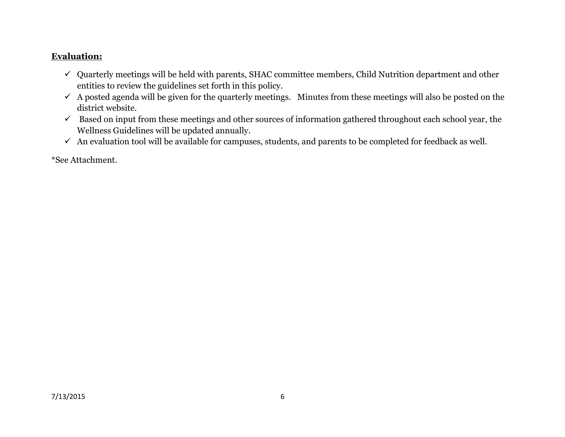#### **Evaluation:**

- $\checkmark$  Quarterly meetings will be held with parents, SHAC committee members, Child Nutrition department and other entities to review the guidelines set forth in this policy.
- $\checkmark$  A posted agenda will be given for the quarterly meetings. Minutes from these meetings will also be posted on the district website.
- $\checkmark$  Based on input from these meetings and other sources of information gathered throughout each school year, the Wellness Guidelines will be updated annually.
- $\checkmark$  An evaluation tool will be available for campuses, students, and parents to be completed for feedback as well.

\*See Attachment.